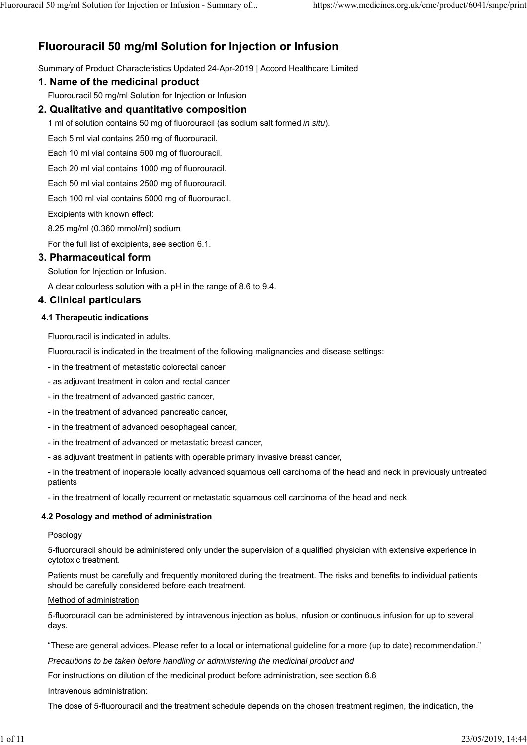# **Fluorouracil 50 mg/ml Solution for Injection or Infusion**

Summary of Product Characteristics Updated 24-Apr-2019 | Accord Healthcare Limited

# **1. Name of the medicinal product**

Fluorouracil 50 mg/ml Solution for Injection or Infusion

# **2. Qualitative and quantitative composition**

1 ml of solution contains 50 mg of fluorouracil (as sodium salt formed *in situ*).

Each 5 ml vial contains 250 mg of fluorouracil.

Each 10 ml vial contains 500 mg of fluorouracil.

Each 20 ml vial contains 1000 mg of fluorouracil.

Each 50 ml vial contains 2500 mg of fluorouracil.

Each 100 ml vial contains 5000 mg of fluorouracil.

Excipients with known effect:

8.25 mg/ml (0.360 mmol/ml) sodium

For the full list of excipients, see section 6.1.

# **3. Pharmaceutical form**

Solution for Injection or Infusion.

A clear colourless solution with a pH in the range of 8.6 to 9.4.

# **4. Clinical particulars**

### **4.1 Therapeutic indications**

Fluorouracil is indicated in adults.

Fluorouracil is indicated in the treatment of the following malignancies and disease settings:

- in the treatment of metastatic colorectal cancer

- as adjuvant treatment in colon and rectal cancer
- in the treatment of advanced gastric cancer,
- in the treatment of advanced pancreatic cancer,
- in the treatment of advanced oesophageal cancer,
- in the treatment of advanced or metastatic breast cancer,
- as adjuvant treatment in patients with operable primary invasive breast cancer,

- in the treatment of inoperable locally advanced squamous cell carcinoma of the head and neck in previously untreated patients

- in the treatment of locally recurrent or metastatic squamous cell carcinoma of the head and neck

# **4.2 Posology and method of administration**

#### **Posology**

5-fluorouracil should be administered only under the supervision of a qualified physician with extensive experience in cytotoxic treatment.

Patients must be carefully and frequently monitored during the treatment. The risks and benefits to individual patients should be carefully considered before each treatment.

#### Method of administration

5-fluorouracil can be administered by intravenous injection as bolus, infusion or continuous infusion for up to several days.

"These are general advices. Please refer to a local or international guideline for a more (up to date) recommendation."

*Precautions to be taken before handling or administering the medicinal product and*

For instructions on dilution of the medicinal product before administration, see section 6.6

#### Intravenous administration:

The dose of 5-fluorouracil and the treatment schedule depends on the chosen treatment regimen, the indication, the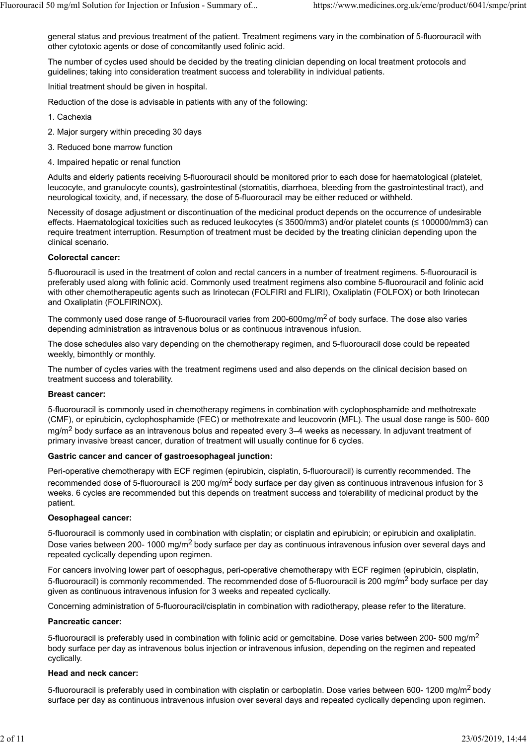general status and previous treatment of the patient. Treatment regimens vary in the combination of 5-fluorouracil with other cytotoxic agents or dose of concomitantly used folinic acid.

The number of cycles used should be decided by the treating clinician depending on local treatment protocols and guidelines; taking into consideration treatment success and tolerability in individual patients.

Initial treatment should be given in hospital.

Reduction of the dose is advisable in patients with any of the following:

- 1. Cachexia
- 2. Major surgery within preceding 30 days
- 3. Reduced bone marrow function
- 4. Impaired hepatic or renal function

Adults and elderly patients receiving 5-fluorouracil should be monitored prior to each dose for haematological (platelet, leucocyte, and granulocyte counts), gastrointestinal (stomatitis, diarrhoea, bleeding from the gastrointestinal tract), and neurological toxicity, and, if necessary, the dose of 5-fluorouracil may be either reduced or withheld.

Necessity of dosage adjustment or discontinuation of the medicinal product depends on the occurrence of undesirable effects. Haematological toxicities such as reduced leukocytes (≤ 3500/mm3) and/or platelet counts (≤ 100000/mm3) can require treatment interruption. Resumption of treatment must be decided by the treating clinician depending upon the clinical scenario.

#### **Colorectal cancer:**

5-fluorouracil is used in the treatment of colon and rectal cancers in a number of treatment regimens. 5-fluorouracil is preferably used along with folinic acid. Commonly used treatment regimens also combine 5-fluorouracil and folinic acid with other chemotherapeutic agents such as Irinotecan (FOLFIRI and FLIRI), Oxaliplatin (FOLFOX) or both Irinotecan and Oxaliplatin (FOLFIRINOX).

The commonly used dose range of 5-fluorouracil varies from 200-600mg/m<sup>2</sup> of body surface. The dose also varies depending administration as intravenous bolus or as continuous intravenous infusion.

The dose schedules also vary depending on the chemotherapy regimen, and 5-fluorouracil dose could be repeated weekly, bimonthly or monthly.

The number of cycles varies with the treatment regimens used and also depends on the clinical decision based on treatment success and tolerability.

# **Breast cancer:**

5-fluorouracil is commonly used in chemotherapy regimens in combination with cyclophosphamide and methotrexate (CMF), or epirubicin, cyclophosphamide (FEC) or methotrexate and leucovorin (MFL). The usual dose range is 500- 600 mg/m<sup>2</sup> body surface as an intravenous bolus and repeated every  $3-4$  weeks as necessary. In adjuvant treatment of primary invasive breast cancer, duration of treatment will usually continue for 6 cycles.

# **Gastric cancer and cancer of gastroesophageal junction:**

Peri-operative chemotherapy with ECF regimen (epirubicin, cisplatin, 5-fluorouracil) is currently recommended. The recommended dose of 5-fluorouracil is 200 mg/m2 body surface per day given as continuous intravenous infusion for 3 weeks. 6 cycles are recommended but this depends on treatment success and tolerability of medicinal product by the patient.

#### **Oesophageal cancer:**

5-fluorouracil is commonly used in combination with cisplatin; or cisplatin and epirubicin; or epirubicin and oxaliplatin. Dose varies between 200- 1000 mg/m<sup>2</sup> body surface per day as continuous intravenous infusion over several days and repeated cyclically depending upon regimen.

For cancers involving lower part of oesophagus, peri-operative chemotherapy with ECF regimen (epirubicin, cisplatin, 5-fluorouracil) is commonly recommended. The recommended dose of 5-fluorouracil is 200 mg/m<sup>2</sup> body surface per day given as continuous intravenous infusion for 3 weeks and repeated cyclically.

Concerning administration of 5-fluorouracil/cisplatin in combination with radiotherapy, please refer to the literature.

#### **Pancreatic cancer:**

5-fluorouracil is preferably used in combination with folinic acid or gemcitabine. Dose varies between 200- 500 mg/m<sup>2</sup> body surface per day as intravenous bolus injection or intravenous infusion, depending on the regimen and repeated cyclically.

#### **Head and neck cancer:**

5-fluorouracil is preferably used in combination with cisplatin or carboplatin. Dose varies between 600-1200 mg/m<sup>2</sup> body surface per day as continuous intravenous infusion over several days and repeated cyclically depending upon regimen.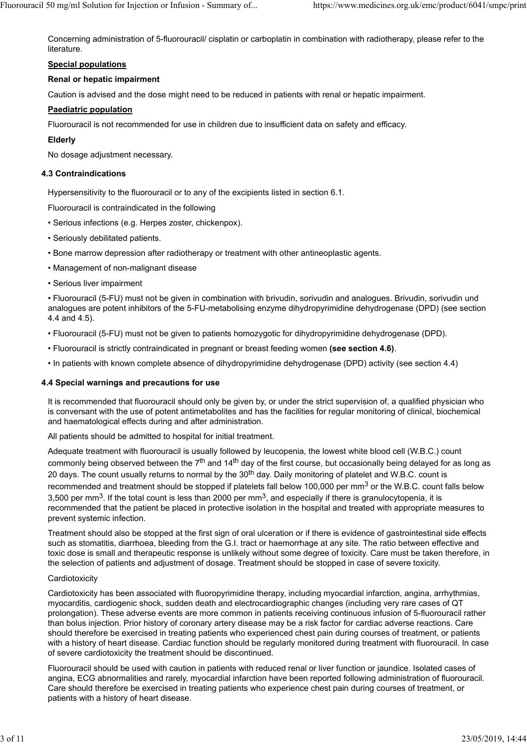Concerning administration of 5-fluorouracil/ cisplatin or carboplatin in combination with radiotherapy, please refer to the literature.

## **Special populations**

## **Renal or hepatic impairment**

Caution is advised and the dose might need to be reduced in patients with renal or hepatic impairment.

### **Paediatric population**

Fluorouracil is not recommended for use in children due to insufficient data on safety and efficacy.

### **Elderly**

No dosage adjustment necessary.

#### **4.3 Contraindications**

Hypersensitivity to the fluorouracil or to any of the excipients listed in section 6.1.

Fluorouracil is contraindicated in the following

- Serious infections (e.g. Herpes zoster, chickenpox).
- Seriously debilitated patients.
- Bone marrow depression after radiotherapy or treatment with other antineoplastic agents.
- Management of non-malignant disease
- Serious liver impairment

• Fluorouracil (5-FU) must not be given in combination with brivudin, sorivudin and analogues. Brivudin, sorivudin und analogues are potent inhibitors of the 5-FU-metabolising enzyme dihydropyrimidine dehydrogenase (DPD) (see section 4.4 and 4.5).

- Fluorouracil (5-FU) must not be given to patients homozygotic for dihydropyrimidine dehydrogenase (DPD).
- Fluorouracil is strictly contraindicated in pregnant or breast feeding women **(see section 4.6)**.
- In patients with known complete absence of dihydropyrimidine dehydrogenase (DPD) activity (see section 4.4)

#### **4.4 Special warnings and precautions for use**

It is recommended that fluorouracil should only be given by, or under the strict supervision of, a qualified physician who is conversant with the use of potent antimetabolites and has the facilities for regular monitoring of clinical, biochemical and haematological effects during and after administration.

All patients should be admitted to hospital for initial treatment.

Adequate treatment with fluorouracil is usually followed by leucopenia, the lowest white blood cell (W.B.C.) count commonly being observed between the 7<sup>th</sup> and 14<sup>th</sup> day of the first course, but occasionally being delayed for as long as 20 days. The count usually returns to normal by the 30<sup>th</sup> day. Daily monitoring of platelet and W.B.C. count is recommended and treatment should be stopped if platelets fall below 100,000 per mm<sup>3</sup> or the W.B.C. count falls below 3,500 per mm<sup>3</sup>. If the total count is less than 2000 per mm<sup>3</sup>, and especially if there is granulocytopenia, it is recommended that the patient be placed in protective isolation in the hospital and treated with appropriate measures to prevent systemic infection.

Treatment should also be stopped at the first sign of oral ulceration or if there is evidence of gastrointestinal side effects such as stomatitis, diarrhoea, bleeding from the G.I. tract or haemorrhage at any site. The ratio between effective and toxic dose is small and therapeutic response is unlikely without some degree of toxicity. Care must be taken therefore, in the selection of patients and adjustment of dosage. Treatment should be stopped in case of severe toxicity.

#### **Cardiotoxicity**

Cardiotoxicity has been associated with fluoropyrimidine therapy, including myocardial infarction, angina, arrhythmias, myocarditis, cardiogenic shock, sudden death and electrocardiographic changes (including very rare cases of QT prolongation). These adverse events are more common in patients receiving continuous infusion of 5-fluorouracil rather than bolus injection. Prior history of coronary artery disease may be a risk factor for cardiac adverse reactions. Care should therefore be exercised in treating patients who experienced chest pain during courses of treatment, or patients with a history of heart disease. Cardiac function should be regularly monitored during treatment with fluorouracil. In case of severe cardiotoxicity the treatment should be discontinued.

Fluorouracil should be used with caution in patients with reduced renal or liver function or jaundice. Isolated cases of angina, ECG abnormalities and rarely, myocardial infarction have been reported following administration of fluorouracil. Care should therefore be exercised in treating patients who experience chest pain during courses of treatment, or patients with a history of heart disease.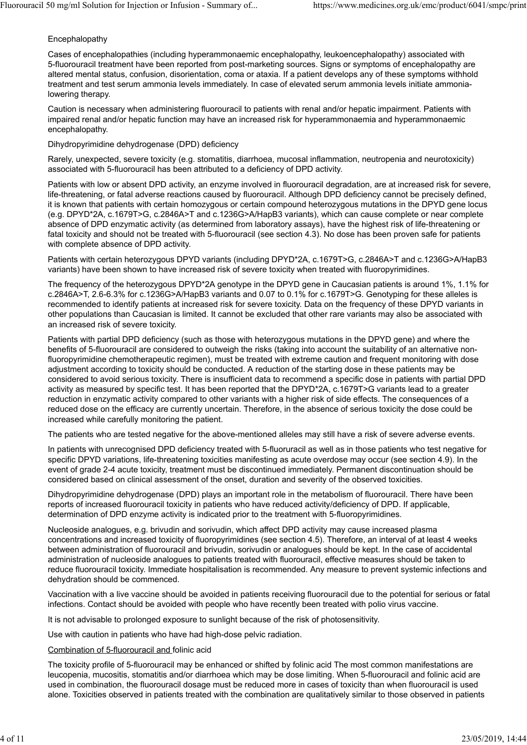# Encephalopathy

Cases of encephalopathies (including hyperammonaemic encephalopathy, leukoencephalopathy) associated with 5-fluorouracil treatment have been reported from post-marketing sources. Signs or symptoms of encephalopathy are altered mental status, confusion, disorientation, coma or ataxia. If a patient develops any of these symptoms withhold treatment and test serum ammonia levels immediately. In case of elevated serum ammonia levels initiate ammonialowering therapy.

Caution is necessary when administering fluorouracil to patients with renal and/or hepatic impairment. Patients with impaired renal and/or hepatic function may have an increased risk for hyperammonaemia and hyperammonaemic encephalopathy.

### Dihydropyrimidine dehydrogenase (DPD) deficiency

Rarely, unexpected, severe toxicity (e.g. stomatitis, diarrhoea, mucosal inflammation, neutropenia and neurotoxicity) associated with 5-fluorouracil has been attributed to a deficiency of DPD activity.

Patients with low or absent DPD activity, an enzyme involved in fluorouracil degradation, are at increased risk for severe, life-threatening, or fatal adverse reactions caused by fluorouracil. Although DPD deficiency cannot be precisely defined, it is known that patients with certain homozygous or certain compound heterozygous mutations in the DPYD gene locus (e.g. DPYD\*2A, c.1679T>G, c.2846A>T and c.1236G>A/HapB3 variants), which can cause complete or near complete absence of DPD enzymatic activity (as determined from laboratory assays), have the highest risk of life-threatening or fatal toxicity and should not be treated with 5-fluorouracil (see section 4.3). No dose has been proven safe for patients with complete absence of DPD activity.

Patients with certain heterozygous DPYD variants (including DPYD\*2A, c.1679T>G, c.2846A>T and c.1236G>A/HapB3 variants) have been shown to have increased risk of severe toxicity when treated with fluoropyrimidines.

The frequency of the heterozygous DPYD\*2A genotype in the DPYD gene in Caucasian patients is around 1%, 1.1% for c.2846A>T, 2.6-6.3% for c.1236G>A/HapB3 variants and 0.07 to 0.1% for c.1679T>G. Genotyping for these alleles is recommended to identify patients at increased risk for severe toxicity. Data on the frequency of these DPYD variants in other populations than Caucasian is limited. It cannot be excluded that other rare variants may also be associated with an increased risk of severe toxicity.

Patients with partial DPD deficiency (such as those with heterozygous mutations in the DPYD gene) and where the benefits of 5-fluorouracil are considered to outweigh the risks (taking into account the suitability of an alternative nonfluoropyrimidine chemotherapeutic regimen), must be treated with extreme caution and frequent monitoring with dose adjustment according to toxicity should be conducted. A reduction of the starting dose in these patients may be considered to avoid serious toxicity. There is insufficient data to recommend a specific dose in patients with partial DPD activity as measured by specific test. It has been reported that the DPYD\*2A, c.1679T>G variants lead to a greater reduction in enzymatic activity compared to other variants with a higher risk of side effects. The consequences of a reduced dose on the efficacy are currently uncertain. Therefore, in the absence of serious toxicity the dose could be increased while carefully monitoring the patient.

The patients who are tested negative for the above-mentioned alleles may still have a risk of severe adverse events.

In patients with unrecognised DPD deficiency treated with 5-fluoruracil as well as in those patients who test negative for specific DPYD variations, life-threatening toxicities manifesting as acute overdose may occur (see section 4.9). In the event of grade 2-4 acute toxicity, treatment must be discontinued immediately. Permanent discontinuation should be considered based on clinical assessment of the onset, duration and severity of the observed toxicities.

Dihydropyrimidine dehydrogenase (DPD) plays an important role in the metabolism of fluorouracil. There have been reports of increased fluorouracil toxicity in patients who have reduced activity/deficiency of DPD. If applicable, determination of DPD enzyme activity is indicated prior to the treatment with 5-fluoropyrimidines.

Nucleoside analogues, e.g. brivudin and sorivudin, which affect DPD activity may cause increased plasma concentrations and increased toxicity of fluoropyrimidines (see section 4.5). Therefore, an interval of at least 4 weeks between administration of fluorouracil and brivudin, sorivudin or analogues should be kept. In the case of accidental administration of nucleoside analogues to patients treated with fluorouracil, effective measures should be taken to reduce fluorouracil toxicity. Immediate hospitalisation is recommended. Any measure to prevent systemic infections and dehydration should be commenced.

Vaccination with a live vaccine should be avoided in patients receiving fluorouracil due to the potential for serious or fatal infections. Contact should be avoided with people who have recently been treated with polio virus vaccine.

It is not advisable to prolonged exposure to sunlight because of the risk of photosensitivity.

Use with caution in patients who have had high-dose pelvic radiation.

Combination of 5-fluorouracil and folinic acid

The toxicity profile of 5-fluorouracil may be enhanced or shifted by folinic acid The most common manifestations are leucopenia, mucositis, stomatitis and/or diarrhoea which may be dose limiting. When 5-fluorouracil and folinic acid are used in combination, the fluorouracil dosage must be reduced more in cases of toxicity than when fluorouracil is used alone. Toxicities observed in patients treated with the combination are qualitatively similar to those observed in patients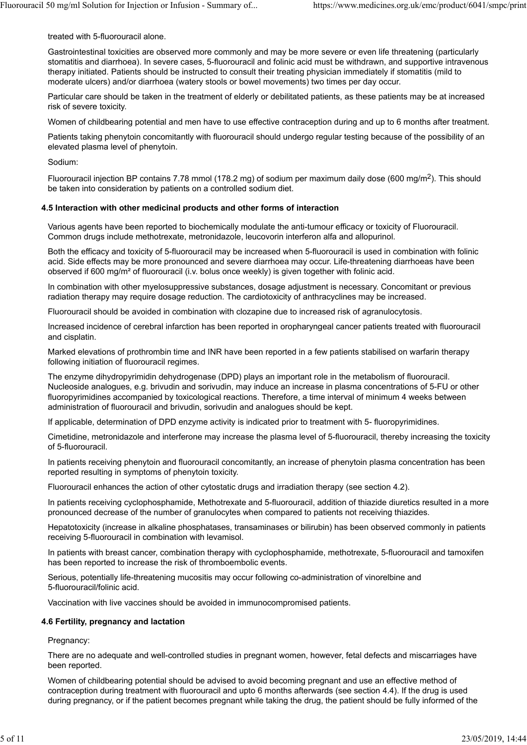#### treated with 5-fluorouracil alone.

Gastrointestinal toxicities are observed more commonly and may be more severe or even life threatening (particularly stomatitis and diarrhoea). In severe cases, 5-fluorouracil and folinic acid must be withdrawn, and supportive intravenous therapy initiated. Patients should be instructed to consult their treating physician immediately if stomatitis (mild to moderate ulcers) and/or diarrhoea (watery stools or bowel movements) two times per day occur.

Particular care should be taken in the treatment of elderly or debilitated patients, as these patients may be at increased risk of severe toxicity.

Women of childbearing potential and men have to use effective contraception during and up to 6 months after treatment.

Patients taking phenytoin concomitantly with fluorouracil should undergo regular testing because of the possibility of an elevated plasma level of phenytoin.

#### Sodium:

Fluorouracil injection BP contains 7.78 mmol (178.2 mg) of sodium per maximum daily dose (600 mg/m<sup>2</sup>). This should be taken into consideration by patients on a controlled sodium diet.

#### **4.5 Interaction with other medicinal products and other forms of interaction**

Various agents have been reported to biochemically modulate the anti-tumour efficacy or toxicity of Fluorouracil. Common drugs include methotrexate, metronidazole, leucovorin interferon alfa and allopurinol.

Both the efficacy and toxicity of 5-fluorouracil may be increased when 5-fluorouracil is used in combination with folinic acid. Side effects may be more pronounced and severe diarrhoea may occur. Life-threatening diarrhoeas have been observed if 600 mg/m² of fluorouracil (i.v. bolus once weekly) is given together with folinic acid.

In combination with other myelosuppressive substances, dosage adjustment is necessary. Concomitant or previous radiation therapy may require dosage reduction. The cardiotoxicity of anthracyclines may be increased.

Fluorouracil should be avoided in combination with clozapine due to increased risk of agranulocytosis.

Increased incidence of cerebral infarction has been reported in oropharyngeal cancer patients treated with fluorouracil and cisplatin.

Marked elevations of prothrombin time and INR have been reported in a few patients stabilised on warfarin therapy following initiation of fluorouracil regimes.

The enzyme dihydropyrimidin dehydrogenase (DPD) plays an important role in the metabolism of fluorouracil. Nucleoside analogues, e.g. brivudin and sorivudin, may induce an increase in plasma concentrations of 5-FU or other fluoropyrimidines accompanied by toxicological reactions. Therefore, a time interval of minimum 4 weeks between administration of fluorouracil and brivudin, sorivudin and analogues should be kept.

If applicable, determination of DPD enzyme activity is indicated prior to treatment with 5- fluoropyrimidines.

Cimetidine, metronidazole and interferone may increase the plasma level of 5-fluorouracil, thereby increasing the toxicity of 5-fluorouracil.

In patients receiving phenytoin and fluorouracil concomitantly, an increase of phenytoin plasma concentration has been reported resulting in symptoms of phenytoin toxicity.

Fluorouracil enhances the action of other cytostatic drugs and irradiation therapy (see section 4.2).

In patients receiving cyclophosphamide, Methotrexate and 5-fluorouracil, addition of thiazide diuretics resulted in a more pronounced decrease of the number of granulocytes when compared to patients not receiving thiazides.

Hepatotoxicity (increase in alkaline phosphatases, transaminases or bilirubin) has been observed commonly in patients receiving 5-fluorouracil in combination with levamisol.

In patients with breast cancer, combination therapy with cyclophosphamide, methotrexate, 5-fluorouracil and tamoxifen has been reported to increase the risk of thromboembolic events.

Serious, potentially life-threatening mucositis may occur following co-administration of vinorelbine and 5-fluorouracil/folinic acid.

Vaccination with live vaccines should be avoided in immunocompromised patients.

#### **4.6 Fertility, pregnancy and lactation**

Pregnancy:

There are no adequate and well-controlled studies in pregnant women, however, fetal defects and miscarriages have been reported.

Women of childbearing potential should be advised to avoid becoming pregnant and use an effective method of contraception during treatment with fluorouracil and upto 6 months afterwards (see section 4.4). If the drug is used during pregnancy, or if the patient becomes pregnant while taking the drug, the patient should be fully informed of the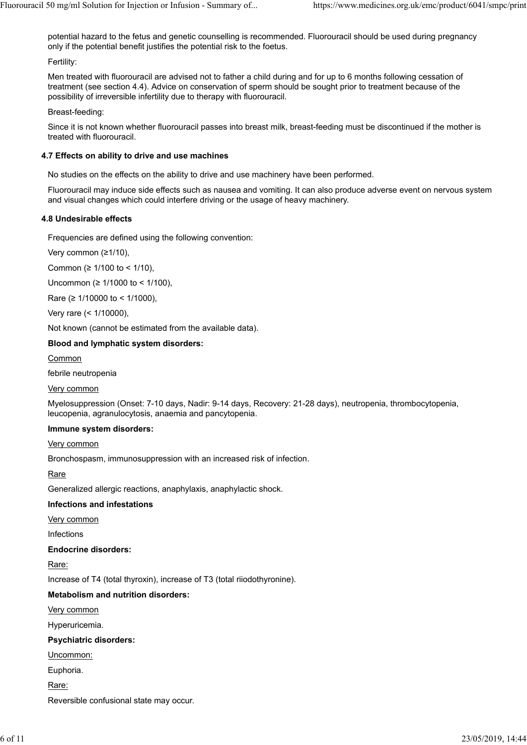potential hazard to the fetus and genetic counselling is recommended. Fluorouracil should be used during pregnancy only if the potential benefit justifies the potential risk to the foetus.

Fertility:

Men treated with fluorouracil are advised not to father a child during and for up to 6 months following cessation of treatment (see section 4.4). Advice on conservation of sperm should be sought prior to treatment because of the possibility of irreversible infertility due to therapy with fluorouracil.

Breast-feeding:

Since it is not known whether fluorouracil passes into breast milk, breast-feeding must be discontinued if the mother is treated with fluorouracil.

## **4.7 Effects on ability to drive and use machines**

No studies on the effects on the ability to drive and use machinery have been performed.

Fluorouracil may induce side effects such as nausea and vomiting. It can also produce adverse event on nervous system and visual changes which could interfere driving or the usage of heavy machinery.

### **4.8 Undesirable effects**

Frequencies are defined using the following convention:

Very common (≥1/10),

Common (≥ 1/100 to < 1/10),

Uncommon (≥ 1/1000 to < 1/100),

Rare (≥ 1/10000 to < 1/1000),

Very rare (< 1/10000),

Not known (cannot be estimated from the available data).

### **Blood and lymphatic system disorders:**

**Common** 

febrile neutropenia

Very common

Myelosuppression (Onset: 7-10 days, Nadir: 9-14 days, Recovery: 21-28 days), neutropenia, thrombocytopenia, leucopenia, agranulocytosis, anaemia and pancytopenia.

#### **Immune system disorders:**

Very common

Bronchospasm, immunosuppression with an increased risk of infection.

Rare

Generalized allergic reactions, anaphylaxis, anaphylactic shock.

# **Infections and infestations**

Very common

Infections

**Endocrine disorders:**

Rare:

Increase of T4 (total thyroxin), increase of T3 (total riiodothyronine).

# **Metabolism and nutrition disorders:**

Very common

Hyperuricemia.

#### **Psychiatric disorders:**

Uncommon:

Euphoria.

Rare:

Reversible confusional state may occur.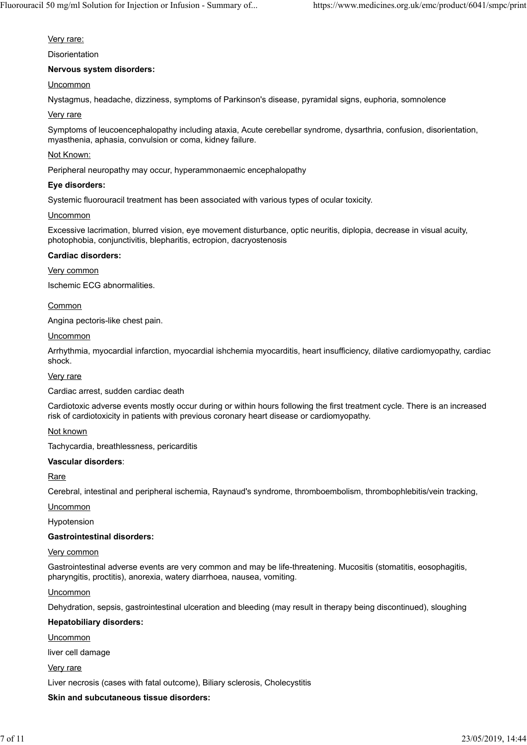#### Very rare:

Disorientation

### **Nervous system disorders:**

## **Uncommon**

Nystagmus, headache, dizziness, symptoms of Parkinson's disease, pyramidal signs, euphoria, somnolence

### Very rare

Symptoms of leucoencephalopathy including ataxia, Acute cerebellar syndrome, dysarthria, confusion, disorientation, myasthenia, aphasia, convulsion or coma, kidney failure.

### Not Known:

Peripheral neuropathy may occur, hyperammonaemic encephalopathy

#### **Eye disorders:**

Systemic fluorouracil treatment has been associated with various types of ocular toxicity.

#### Uncommon

Excessive lacrimation, blurred vision, eye movement disturbance, optic neuritis, diplopia, decrease in visual acuity, photophobia, conjunctivitis, blepharitis, ectropion, dacryostenosis

#### **Cardiac disorders:**

#### Very common

Ischemic ECG abnormalities.

### Common

Angina pectoris-like chest pain.

### Uncommon

Arrhythmia, myocardial infarction, myocardial ishchemia myocarditis, heart insufficiency, dilative cardiomyopathy, cardiac shock.

#### Very rare

Cardiac arrest, sudden cardiac death

Cardiotoxic adverse events mostly occur during or within hours following the first treatment cycle. There is an increased risk of cardiotoxicity in patients with previous coronary heart disease or cardiomyopathy.

# Not known

Tachycardia, breathlessness, pericarditis

#### **Vascular disorders**:

**Rare** 

Cerebral, intestinal and peripheral ischemia, Raynaud's syndrome, thromboembolism, thrombophlebitis/vein tracking,

Uncommon

Hypotension

#### **Gastrointestinal disorders:**

#### Very common

Gastrointestinal adverse events are very common and may be life-threatening. Mucositis (stomatitis, eosophagitis, pharyngitis, proctitis), anorexia, watery diarrhoea, nausea, vomiting.

#### **Uncommon**

Dehydration, sepsis, gastrointestinal ulceration and bleeding (may result in therapy being discontinued), sloughing

#### **Hepatobiliary disorders:**

Uncommon

liver cell damage

#### Very rare

Liver necrosis (cases with fatal outcome), Biliary sclerosis, Cholecystitis

#### **Skin and subcutaneous tissue disorders:**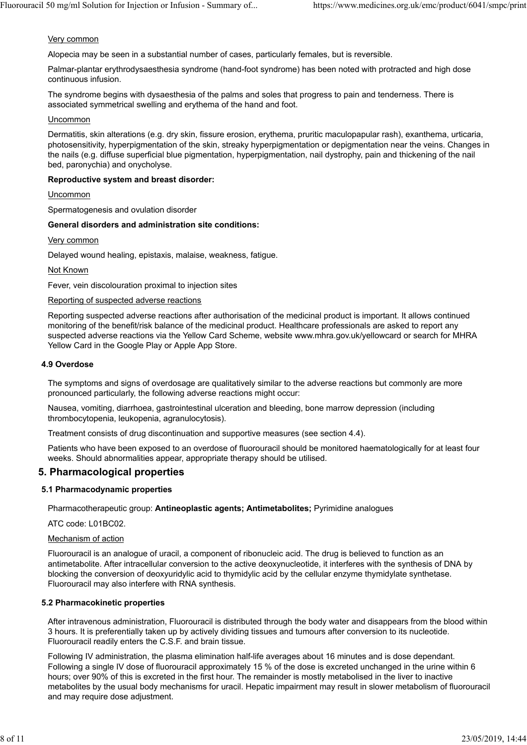#### Very common

Alopecia may be seen in a substantial number of cases, particularly females, but is reversible.

Palmar-plantar erythrodysaesthesia syndrome (hand-foot syndrome) has been noted with protracted and high dose continuous infusion.

The syndrome begins with dysaesthesia of the palms and soles that progress to pain and tenderness. There is associated symmetrical swelling and erythema of the hand and foot.

#### **Uncommon**

Dermatitis, skin alterations (e.g. dry skin, fissure erosion, erythema, pruritic maculopapular rash), exanthema, urticaria, photosensitivity, hyperpigmentation of the skin, streaky hyperpigmentation or depigmentation near the veins. Changes in the nails (e.g. diffuse superficial blue pigmentation, hyperpigmentation, nail dystrophy, pain and thickening of the nail bed, paronychia) and onycholyse.

#### **Reproductive system and breast disorder:**

**Uncommon** 

Spermatogenesis and ovulation disorder

#### **General disorders and administration site conditions:**

Very common

Delayed wound healing, epistaxis, malaise, weakness, fatigue.

Not Known

Fever, vein discolouration proximal to injection sites

#### Reporting of suspected adverse reactions

Reporting suspected adverse reactions after authorisation of the medicinal product is important. It allows continued monitoring of the benefit/risk balance of the medicinal product. Healthcare professionals are asked to report any suspected adverse reactions via the Yellow Card Scheme, website www.mhra.gov.uk/yellowcard or search for MHRA Yellow Card in the Google Play or Apple App Store.

#### **4.9 Overdose**

The symptoms and signs of overdosage are qualitatively similar to the adverse reactions but commonly are more pronounced particularly, the following adverse reactions might occur:

Nausea, vomiting, diarrhoea, gastrointestinal ulceration and bleeding, bone marrow depression (including thrombocytopenia, leukopenia, agranulocytosis).

Treatment consists of drug discontinuation and supportive measures (see section 4.4).

Patients who have been exposed to an overdose of fluorouracil should be monitored haematologically for at least four weeks. Should abnormalities appear, appropriate therapy should be utilised.

# **5. Pharmacological properties**

#### **5.1 Pharmacodynamic properties**

Pharmacotherapeutic group: **Antineoplastic agents; Antimetabolites;** Pyrimidine analogues

ATC code: L01BC02.

#### Mechanism of action

Fluorouracil is an analogue of uracil, a component of ribonucleic acid. The drug is believed to function as an antimetabolite. After intracellular conversion to the active deoxynucleotide, it interferes with the synthesis of DNA by blocking the conversion of deoxyuridylic acid to thymidylic acid by the cellular enzyme thymidylate synthetase. Fluorouracil may also interfere with RNA synthesis.

#### **5.2 Pharmacokinetic properties**

After intravenous administration, Fluorouracil is distributed through the body water and disappears from the blood within 3 hours. It is preferentially taken up by actively dividing tissues and tumours after conversion to its nucleotide. Fluorouracil readily enters the C.S.F. and brain tissue.

Following IV administration, the plasma elimination half-life averages about 16 minutes and is dose dependant. Following a single IV dose of fluorouracil approximately 15 % of the dose is excreted unchanged in the urine within 6 hours; over 90% of this is excreted in the first hour. The remainder is mostly metabolised in the liver to inactive metabolites by the usual body mechanisms for uracil. Hepatic impairment may result in slower metabolism of fluorouracil and may require dose adjustment.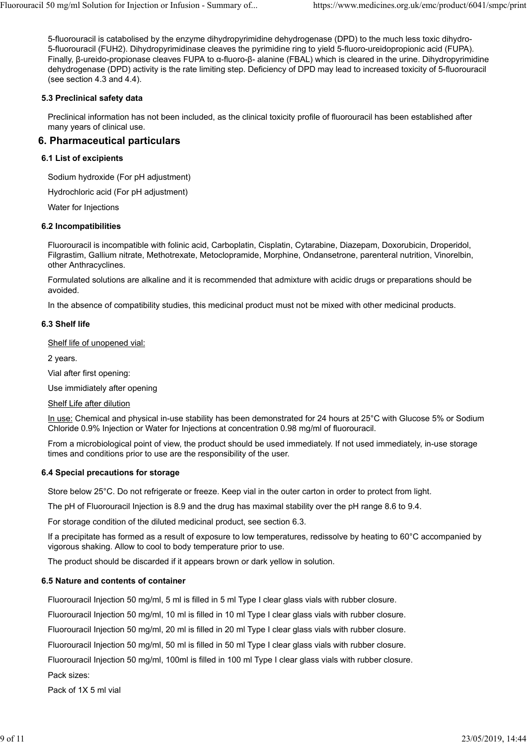5-fluorouracil is catabolised by the enzyme dihydropyrimidine dehydrogenase (DPD) to the much less toxic dihydro-5-fluorouracil (FUH2). Dihydropyrimidinase cleaves the pyrimidine ring to yield 5-fluoro-ureidopropionic acid (FUPA). Finally, β-ureido-propionase cleaves FUPA to α-fluoro-β- alanine (FBAL) which is cleared in the urine. Dihydropyrimidine dehydrogenase (DPD) activity is the rate limiting step. Deficiency of DPD may lead to increased toxicity of 5-fluorouracil (see section 4.3 and 4.4).

## **5.3 Preclinical safety data**

Preclinical information has not been included, as the clinical toxicity profile of fluorouracil has been established after many years of clinical use.

# **6. Pharmaceutical particulars**

## **6.1 List of excipients**

Sodium hydroxide (For pH adjustment)

Hydrochloric acid (For pH adjustment)

Water for Injections

#### **6.2 Incompatibilities**

Fluorouracil is incompatible with folinic acid, Carboplatin, Cisplatin, Cytarabine, Diazepam, Doxorubicin, Droperidol, Filgrastim, Gallium nitrate, Methotrexate, Metoclopramide, Morphine, Ondansetrone, parenteral nutrition, Vinorelbin, other Anthracyclines.

Formulated solutions are alkaline and it is recommended that admixture with acidic drugs or preparations should be avoided.

In the absence of compatibility studies, this medicinal product must not be mixed with other medicinal products.

#### **6.3 Shelf life**

Shelf life of unopened vial:

2 years.

Vial after first opening:

Use immidiately after opening

Shelf Life after dilution

In use: Chemical and physical in-use stability has been demonstrated for 24 hours at 25°C with Glucose 5% or Sodium Chloride 0.9% Injection or Water for Injections at concentration 0.98 mg/ml of fluorouracil.

From a microbiological point of view, the product should be used immediately. If not used immediately, in-use storage times and conditions prior to use are the responsibility of the user.

#### **6.4 Special precautions for storage**

Store below 25°C. Do not refrigerate or freeze. Keep vial in the outer carton in order to protect from light.

The pH of Fluorouracil Injection is 8.9 and the drug has maximal stability over the pH range 8.6 to 9.4.

For storage condition of the diluted medicinal product, see section 6.3.

If a precipitate has formed as a result of exposure to low temperatures, redissolve by heating to 60°C accompanied by vigorous shaking. Allow to cool to body temperature prior to use.

The product should be discarded if it appears brown or dark yellow in solution.

#### **6.5 Nature and contents of container**

Fluorouracil Injection 50 mg/ml, 5 ml is filled in 5 ml Type I clear glass vials with rubber closure.

Fluorouracil Injection 50 mg/ml, 10 ml is filled in 10 ml Type I clear glass vials with rubber closure.

Fluorouracil Injection 50 mg/ml, 20 ml is filled in 20 ml Type I clear glass vials with rubber closure.

Fluorouracil Injection 50 mg/ml, 50 ml is filled in 50 ml Type I clear glass vials with rubber closure.

Fluorouracil Injection 50 mg/ml, 100ml is filled in 100 ml Type I clear glass vials with rubber closure.

Pack sizes:

Pack of 1X 5 ml vial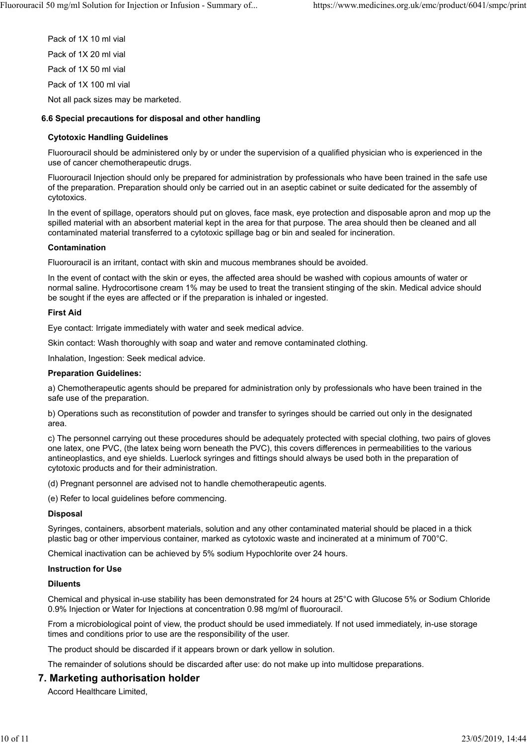Pack of 1X 10 ml vial Pack of 1X 20 ml vial Pack of 1X 50 ml vial Pack of 1X 100 ml vial

Not all pack sizes may be marketed.

### **6.6 Special precautions for disposal and other handling**

## **Cytotoxic Handling Guidelines**

Fluorouracil should be administered only by or under the supervision of a qualified physician who is experienced in the use of cancer chemotherapeutic drugs.

Fluorouracil Injection should only be prepared for administration by professionals who have been trained in the safe use of the preparation. Preparation should only be carried out in an aseptic cabinet or suite dedicated for the assembly of cytotoxics.

In the event of spillage, operators should put on gloves, face mask, eye protection and disposable apron and mop up the spilled material with an absorbent material kept in the area for that purpose. The area should then be cleaned and all contaminated material transferred to a cytotoxic spillage bag or bin and sealed for incineration.

#### **Contamination**

Fluorouracil is an irritant, contact with skin and mucous membranes should be avoided.

In the event of contact with the skin or eyes, the affected area should be washed with copious amounts of water or normal saline. Hydrocortisone cream 1% may be used to treat the transient stinging of the skin. Medical advice should be sought if the eyes are affected or if the preparation is inhaled or ingested.

### **First Aid**

Eye contact: Irrigate immediately with water and seek medical advice.

Skin contact: Wash thoroughly with soap and water and remove contaminated clothing.

Inhalation, Ingestion: Seek medical advice.

#### **Preparation Guidelines:**

a) Chemotherapeutic agents should be prepared for administration only by professionals who have been trained in the safe use of the preparation.

b) Operations such as reconstitution of powder and transfer to syringes should be carried out only in the designated area.

c) The personnel carrying out these procedures should be adequately protected with special clothing, two pairs of gloves one latex, one PVC, (the latex being worn beneath the PVC), this covers differences in permeabilities to the various antineoplastics, and eye shields. Luerlock syringes and fittings should always be used both in the preparation of cytotoxic products and for their administration.

(d) Pregnant personnel are advised not to handle chemotherapeutic agents.

(e) Refer to local guidelines before commencing.

#### **Disposal**

Syringes, containers, absorbent materials, solution and any other contaminated material should be placed in a thick plastic bag or other impervious container, marked as cytotoxic waste and incinerated at a minimum of 700°C.

Chemical inactivation can be achieved by 5% sodium Hypochlorite over 24 hours.

#### **Instruction for Use**

#### **Diluents**

Chemical and physical in-use stability has been demonstrated for 24 hours at 25°C with Glucose 5% or Sodium Chloride 0.9% Injection or Water for Injections at concentration 0.98 mg/ml of fluorouracil.

From a microbiological point of view, the product should be used immediately. If not used immediately, in-use storage times and conditions prior to use are the responsibility of the user.

The product should be discarded if it appears brown or dark yellow in solution.

The remainder of solutions should be discarded after use: do not make up into multidose preparations.

# **7. Marketing authorisation holder**

Accord Healthcare Limited,